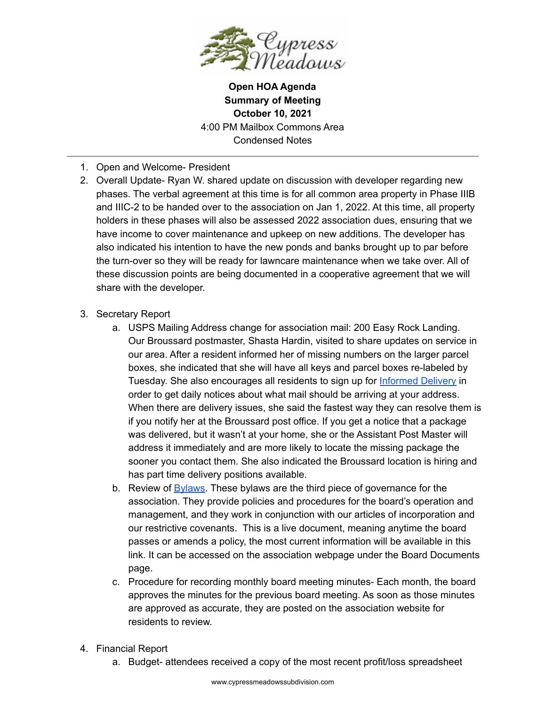

**Open HOA Agenda Summary of Meeting October 10, 2021** 4:00 PM Mailbox Commons Area Condensed Notes

- 1. Open and Welcome- President
- 2. Overall Update- Ryan W. shared update on discussion with developer regarding new phases. The verbal agreement at this time is for all common area property in Phase IIIB and IIIC-2 to be handed over to the association on Jan 1, 2022. At this time, all property holders in these phases will also be assessed 2022 association dues, ensuring that we have income to cover maintenance and upkeep on new additions. The developer has also indicated his intention to have the new ponds and banks brought up to par before the turn-over so they will be ready for lawncare maintenance when we take over. All of these discussion points are being documented in a cooperative agreement that we will share with the developer.
- 3. Secretary Report
	- a. USPS Mailing Address change for association mail: 200 Easy Rock Landing. Our Broussard postmaster, Shasta Hardin, visited to share updates on service in our area. After a resident informed her of missing numbers on the larger parcel boxes, she indicated that she will have all keys and parcel boxes re-labeled by Tuesday. She also encourages all residents to sign up for [Informed](https://informeddelivery.usps.com/box/pages/intro/start.action) Delivery in order to get daily notices about what mail should be arriving at your address. When there are delivery issues, she said the fastest way they can resolve them is if you notify her at the Broussard post office. If you get a notice that a package was delivered, but it wasn't at your home, she or the Assistant Post Master will address it immediately and are more likely to locate the missing package the sooner you contact them. She also indicated the Broussard location is hiring and has part time delivery positions available.
	- b. Review of [Bylaws](https://docs.google.com/document/d/1hK-DXIxsH3JHYlxSn0Xzm43GFlaeAxkyI9_gf7UNIPc/edit). These bylaws are the third piece of governance for the association. They provide policies and procedures for the board's operation and management, and they work in conjunction with our articles of incorporation and our restrictive covenants. This is a live document, meaning anytime the board passes or amends a policy, the most current information will be available in this link. It can be accessed on the association webpage under the Board Documents page.
	- c. Procedure for recording monthly board meeting minutes- Each month, the board approves the minutes for the previous board meeting. As soon as those minutes are approved as accurate, they are posted on the association website for residents to review.
- 4. Financial Report
	- a. Budget- attendees received a copy of the most recent profit/loss spreadsheet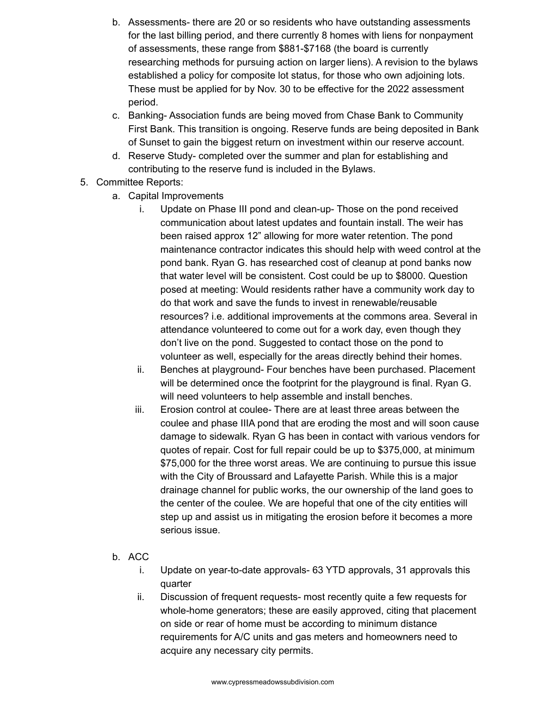- b. Assessments- there are 20 or so residents who have outstanding assessments for the last billing period, and there currently 8 homes with liens for nonpayment of assessments, these range from \$881-\$7168 (the board is currently researching methods for pursuing action on larger liens). A revision to the bylaws established a policy for composite lot status, for those who own adjoining lots. These must be applied for by Nov. 30 to be effective for the 2022 assessment period.
- c. Banking- Association funds are being moved from Chase Bank to Community First Bank. This transition is ongoing. Reserve funds are being deposited in Bank of Sunset to gain the biggest return on investment within our reserve account.
- d. Reserve Study- completed over the summer and plan for establishing and contributing to the reserve fund is included in the Bylaws.
- 5. Committee Reports:
	- a. Capital Improvements
		- i. Update on Phase III pond and clean-up- Those on the pond received communication about latest updates and fountain install. The weir has been raised approx 12" allowing for more water retention. The pond maintenance contractor indicates this should help with weed control at the pond bank. Ryan G. has researched cost of cleanup at pond banks now that water level will be consistent. Cost could be up to \$8000. Question posed at meeting: Would residents rather have a community work day to do that work and save the funds to invest in renewable/reusable resources? i.e. additional improvements at the commons area. Several in attendance volunteered to come out for a work day, even though they don't live on the pond. Suggested to contact those on the pond to volunteer as well, especially for the areas directly behind their homes.
		- ii. Benches at playground- Four benches have been purchased. Placement will be determined once the footprint for the playground is final. Ryan G. will need volunteers to help assemble and install benches.
		- iii. Erosion control at coulee- There are at least three areas between the coulee and phase IIIA pond that are eroding the most and will soon cause damage to sidewalk. Ryan G has been in contact with various vendors for quotes of repair. Cost for full repair could be up to \$375,000, at minimum \$75,000 for the three worst areas. We are continuing to pursue this issue with the City of Broussard and Lafayette Parish. While this is a major drainage channel for public works, the our ownership of the land goes to the center of the coulee. We are hopeful that one of the city entities will step up and assist us in mitigating the erosion before it becomes a more serious issue.
	- b. ACC
		- i. Update on year-to-date approvals- 63 YTD approvals, 31 approvals this quarter
		- ii. Discussion of frequent requests- most recently quite a few requests for whole-home generators; these are easily approved, citing that placement on side or rear of home must be according to minimum distance requirements for A/C units and gas meters and homeowners need to acquire any necessary city permits.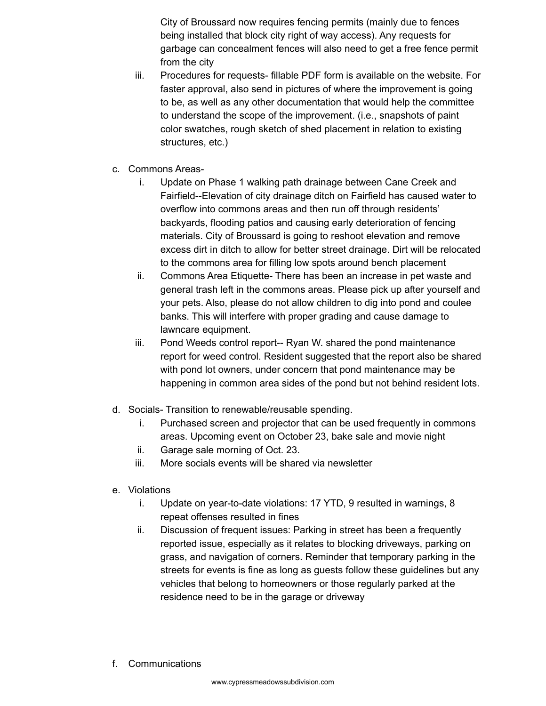City of Broussard now requires fencing permits (mainly due to fences being installed that block city right of way access). Any requests for garbage can concealment fences will also need to get a free fence permit from the city

- iii. Procedures for requests- fillable PDF form is available on the website. For faster approval, also send in pictures of where the improvement is going to be, as well as any other documentation that would help the committee to understand the scope of the improvement. (i.e., snapshots of paint color swatches, rough sketch of shed placement in relation to existing structures, etc.)
- c. Commons Areas
	- i. Update on Phase 1 walking path drainage between Cane Creek and Fairfield--Elevation of city drainage ditch on Fairfield has caused water to overflow into commons areas and then run off through residents' backyards, flooding patios and causing early deterioration of fencing materials. City of Broussard is going to reshoot elevation and remove excess dirt in ditch to allow for better street drainage. Dirt will be relocated to the commons area for filling low spots around bench placement
	- ii. Commons Area Etiquette- There has been an increase in pet waste and general trash left in the commons areas. Please pick up after yourself and your pets. Also, please do not allow children to dig into pond and coulee banks. This will interfere with proper grading and cause damage to lawncare equipment.
	- iii. Pond Weeds control report-- Ryan W. shared the pond maintenance report for weed control. Resident suggested that the report also be shared with pond lot owners, under concern that pond maintenance may be happening in common area sides of the pond but not behind resident lots.
- d. Socials- Transition to renewable/reusable spending.
	- i. Purchased screen and projector that can be used frequently in commons areas. Upcoming event on October 23, bake sale and movie night
	- ii. Garage sale morning of Oct. 23.
	- iii. More socials events will be shared via newsletter
- e. Violations
	- i. Update on year-to-date violations: 17 YTD, 9 resulted in warnings, 8 repeat offenses resulted in fines
	- ii. Discussion of frequent issues: Parking in street has been a frequently reported issue, especially as it relates to blocking driveways, parking on grass, and navigation of corners. Reminder that temporary parking in the streets for events is fine as long as guests follow these guidelines but any vehicles that belong to homeowners or those regularly parked at the residence need to be in the garage or driveway
- f. Communications